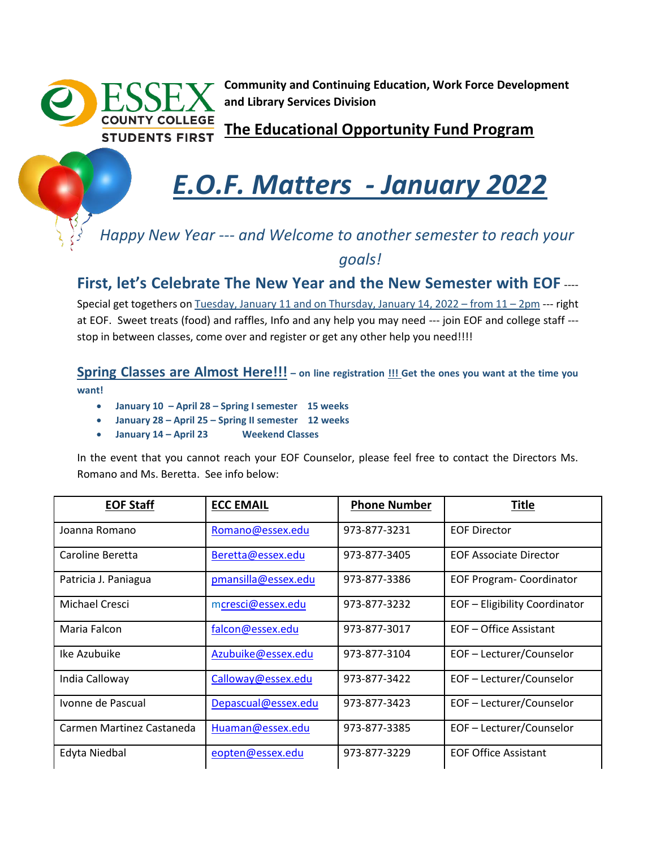

**Community and Continuing Education, Work Force Development and Library Services Division**

**The Educational Opportunity Fund Program** 

## *E.O.F. Matters - January 2022*

## *Happy New Year --- and Welcome to another semester to reach your goals!*

**First, let's Celebrate The New Year and the New Semester with EOF** ----

Special get togethers on Tuesday, January 11 and on Thursday, January 14, 2022 – from 11 – 2pm --- right at EOF. Sweet treats (food) and raffles, Info and any help you may need --- join EOF and college staff -- stop in between classes, come over and register or get any other help you need!!!!

**Spring Classes are Almost Here!!! – on line registration !!! Get the ones you want at the time you want!**

- **January 10 – April 28 – Spring I semester 15 weeks**
- **January 28 – April 25 – Spring II semester 12 weeks**
- **January 14 – April 23 Weekend Classes**

In the event that you cannot reach your EOF Counselor, please feel free to contact the Directors Ms. Romano and Ms. Beretta. See info below:

| <b>EOF Staff</b>          | <b>ECC EMAIL</b>    | <b>Phone Number</b> | <b>Title</b>                    |
|---------------------------|---------------------|---------------------|---------------------------------|
| Joanna Romano             | Romano@essex.edu    | 973-877-3231        | <b>EOF Director</b>             |
| Caroline Beretta          | Beretta@essex.edu   | 973-877-3405        | <b>EOF Associate Director</b>   |
| Patricia J. Paniagua      | pmansilla@essex.edu | 973-877-3386        | <b>EOF Program- Coordinator</b> |
| Michael Cresci            | mcresci@essex.edu   | 973-877-3232        | EOF - Eligibility Coordinator   |
| Maria Falcon              | falcon@essex.edu    | 973-877-3017        | EOF-Office Assistant            |
| Ike Azubuike              | Azubuike@essex.edu  | 973-877-3104        | EOF - Lecturer/Counselor        |
| India Calloway            | Calloway@essex.edu  | 973-877-3422        | EOF-Lecturer/Counselor          |
| Ivonne de Pascual         | Depascual@essex.edu | 973-877-3423        | EOF - Lecturer/Counselor        |
| Carmen Martinez Castaneda | Huaman@essex.edu    | 973-877-3385        | EOF - Lecturer/Counselor        |
| Edyta Niedbal             | eopten@essex.edu    | 973-877-3229        | <b>EOF Office Assistant</b>     |